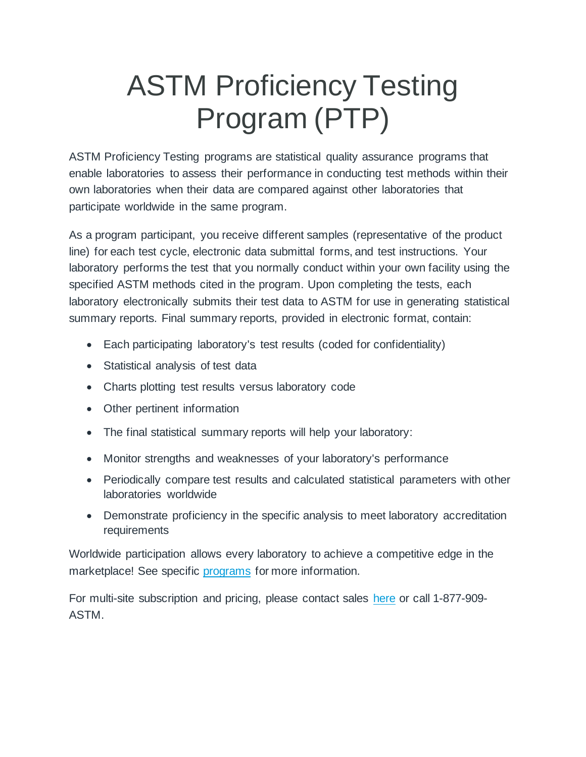## ASTM Proficiency Testing Program (PTP)

ASTM Proficiency Testing programs are statistical quality assurance programs that enable laboratories to assess their performance in conducting test methods within their own laboratories when their data are compared against other laboratories that participate worldwide in the same program.

As a program participant, you receive different samples (representative of the product line) for each test cycle, electronic data submittal forms, and test instructions. Your laboratory performs the test that you normally conduct within your own facility using the specified ASTM methods cited in the program. Upon completing the tests, each laboratory electronically submits their test data to ASTM for use in generating statistical summary reports. Final summary reports, provided in electronic format, contain:

- Each participating laboratory's test results (coded for confidentiality)
- Statistical analysis of test data
- Charts plotting test results versus laboratory code
- Other pertinent information
- The final statistical summary reports will help your laboratory:
- Monitor strengths and weaknesses of your laboratory's performance
- Periodically compare test results and calculated statistical parameters with other laboratories worldwide
- Demonstrate proficiency in the specific analysis to meet laboratory accreditation requirements

Worldwide participation allows every laboratory to achieve a competitive edge in the marketplace! See specific [programs](https://www.astm.org/STATQA/index.html) for more information.

For multi-site subscription and pricing, please contact sales [here](https://www.astm.org/DEMO/salesforce.htm?demo) or call 1-877-909- ASTM.